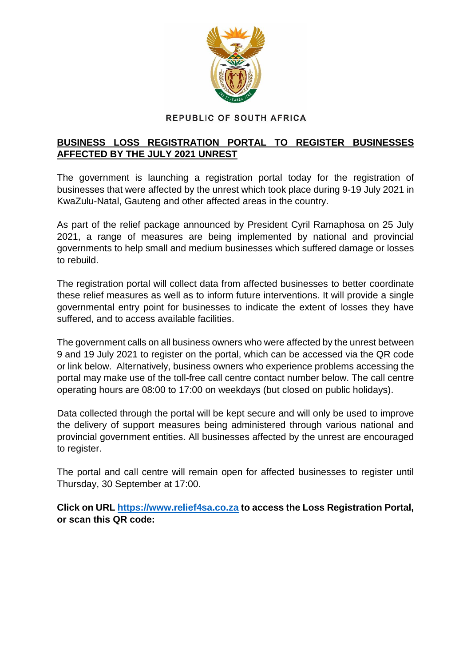

## REPUBLIC OF SOUTH AFRICA

## **BUSINESS LOSS REGISTRATION PORTAL TO REGISTER BUSINESSES AFFECTED BY THE JULY 2021 UNREST**

The government is launching a registration portal today for the registration of businesses that were affected by the unrest which took place during 9-19 July 2021 in KwaZulu-Natal, Gauteng and other affected areas in the country.

As part of the relief package announced by President Cyril Ramaphosa on 25 July 2021, a range of measures are being implemented by national and provincial governments to help small and medium businesses which suffered damage or losses to rebuild.

The registration portal will collect data from affected businesses to better coordinate these relief measures as well as to inform future interventions. It will provide a single governmental entry point for businesses to indicate the extent of losses they have suffered, and to access available facilities.

The government calls on all business owners who were affected by the unrest between 9 and 19 July 2021 to register on the portal, which can be accessed via the QR code or link below. Alternatively, business owners who experience problems accessing the portal may make use of the toll-free call centre contact number below. The call centre operating hours are 08:00 to 17:00 on weekdays (but closed on public holidays).

Data collected through the portal will be kept secure and will only be used to improve the delivery of support measures being administered through various national and provincial government entities. All businesses affected by the unrest are encouraged to register.

The portal and call centre will remain open for affected businesses to register until Thursday, 30 September at 17:00.

**Click on URL [https://www.relief4sa.co.za](https://www.relief4sa.co.za/) to access the Loss Registration Portal, or scan this QR code:**